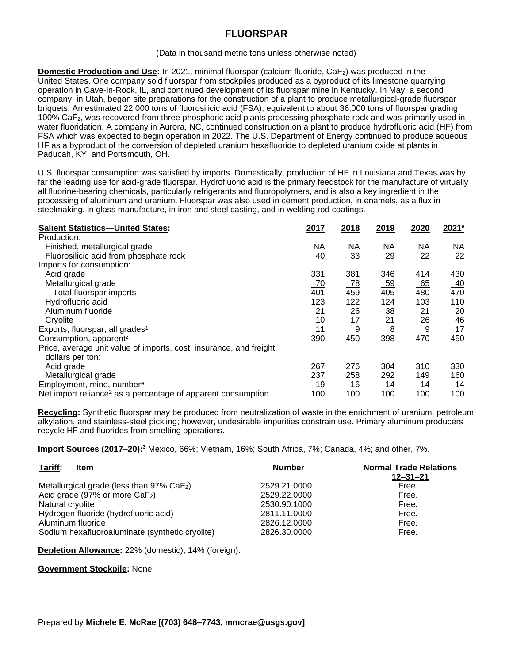## **FLUORSPAR**

## (Data in thousand metric tons unless otherwise noted)

**Domestic Production and Use:** In 2021, minimal fluorspar (calcium fluoride, CaF<sub>2</sub>) was produced in the United States. One company sold fluorspar from stockpiles produced as a byproduct of its limestone quarrying operation in Cave-in-Rock, IL, and continued development of its fluorspar mine in Kentucky. In May, a second company, in Utah, began site preparations for the construction of a plant to produce metallurgical-grade fluorspar briquets. An estimated 22,000 tons of fluorosilicic acid (FSA), equivalent to about 36,000 tons of fluorspar grading 100% CaF2, was recovered from three phosphoric acid plants processing phosphate rock and was primarily used in water fluoridation. A company in Aurora, NC, continued construction on a plant to produce hydrofluoric acid (HF) from FSA which was expected to begin operation in 2022. The U.S. Department of Energy continued to produce aqueous HF as a byproduct of the conversion of depleted uranium hexafluoride to depleted uranium oxide at plants in Paducah, KY, and Portsmouth, OH.

U.S. fluorspar consumption was satisfied by imports. Domestically, production of HF in Louisiana and Texas was by far the leading use for acid-grade fluorspar. Hydrofluoric acid is the primary feedstock for the manufacture of virtually all fluorine-bearing chemicals, particularly refrigerants and fluoropolymers, and is also a key ingredient in the processing of aluminum and uranium. Fluorspar was also used in cement production, in enamels, as a flux in steelmaking, in glass manufacture, in iron and steel casting, and in welding rod coatings.

| <b>Salient Statistics-United States:</b>                                                | 2017      | 2018      | 2019      | 2020 | 2021 <sup>e</sup> |
|-----------------------------------------------------------------------------------------|-----------|-----------|-----------|------|-------------------|
| Production:                                                                             |           |           |           |      |                   |
| Finished, metallurgical grade                                                           | NA.       | NА        | NA        | NА   | <b>NA</b>         |
| Fluorosilicic acid from phosphate rock                                                  | 40        | 33        | 29        | 22   | 22                |
| Imports for consumption:                                                                |           |           |           |      |                   |
| Acid grade                                                                              | 331       | 381       | 346       | 414  | 430               |
| Metallurgical grade                                                                     | <u>70</u> | <u>78</u> | <u>59</u> | 65   | <u>40</u>         |
| Total fluorspar imports                                                                 | 401       | 459       | 405       | 480  | 470               |
| Hydrofluoric acid                                                                       | 123       | 122       | 124       | 103  | 110               |
| Aluminum fluoride                                                                       | 21        | 26        | 38        | 21   | 20                |
| Cryolite                                                                                | 10        | 17        | 21        | 26   | 46                |
| Exports, fluorspar, all grades <sup>1</sup>                                             | 11        | 9         | 8         | 9    | 17                |
| Consumption, apparent <sup>2</sup>                                                      | 390       | 450       | 398       | 470  | 450               |
| Price, average unit value of imports, cost, insurance, and freight,<br>dollars per ton: |           |           |           |      |                   |
| Acid grade                                                                              | 267       | 276       | 304       | 310  | 330               |
| Metallurgical grade                                                                     | 237       | 258       | 292       | 149  | 160               |
| Employment, mine, number <sup>e</sup>                                                   | 19        | 16        | 14        | 14   | 14                |
| Net import reliance <sup>2</sup> as a percentage of apparent consumption                | 100       | 100       | 100       | 100  | 100               |

**Recycling:** Synthetic fluorspar may be produced from neutralization of waste in the enrichment of uranium, petroleum alkylation, and stainless-steel pickling; however, undesirable impurities constrain use. Primary aluminum producers recycle HF and fluorides from smelting operations.

**Import Sources (2017–20): <sup>3</sup>** Mexico, 66%; Vietnam, 16%; South Africa, 7%; Canada, 4%; and other, 7%.

| Tariff:<br><b>Item</b>                                   | <b>Number</b> | <b>Normal Trade Relations</b><br>12–31–21 |
|----------------------------------------------------------|---------------|-------------------------------------------|
| Metallurgical grade (less than $97\%$ CaF <sub>2</sub> ) | 2529.21.0000  | Free.                                     |
| Acid grade (97% or more $CaF2$ )                         | 2529.22.0000  | Free.                                     |
| Natural cryolite                                         | 2530.90.1000  | Free.                                     |
| Hydrogen fluoride (hydrofluoric acid)                    | 2811.11.0000  | Free.                                     |
| Aluminum fluoride                                        | 2826.12.0000  | Free.                                     |
| Sodium hexafluoroaluminate (synthetic cryolite)          | 2826.30.0000  | Free.                                     |

**Depletion Allowance:** 22% (domestic), 14% (foreign).

**Government Stockpile:** None.